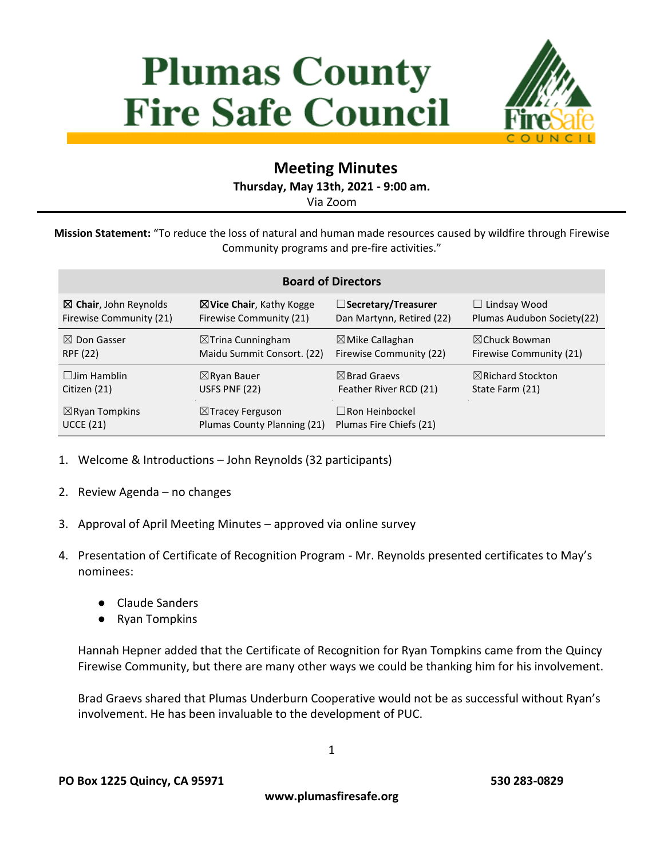# **Plumas County Fire Safe Council**



# **Meeting Minutes**

**Thursday, May 13th, 2021 - 9:00 am.**

Via Zoom

**Mission Statement:** "To reduce the loss of natural and human made resources caused by wildfire through Firewise Community programs and pre-fire activities."

| <b>Board of Directors</b>        |                                     |                            |                              |
|----------------------------------|-------------------------------------|----------------------------|------------------------------|
| $\boxtimes$ Chair, John Reynolds | $\boxtimes$ Vice Chair, Kathy Kogge | □Secretary/Treasurer       | $\Box$ Lindsay Wood          |
| Firewise Community (21)          | Firewise Community (21)             | Dan Martynn, Retired (22)  | Plumas Audubon Society(22)   |
| $\boxtimes$ Don Gasser           | $\boxtimes$ Trina Cunningham        | $\boxtimes$ Mike Callaghan | $\boxtimes$ Chuck Bowman     |
| RPF (22)                         | Maidu Summit Consort. (22)          | Firewise Community (22)    | Firewise Community (21)      |
| $\Box$ lim Hamblin               | $\boxtimes$ Ryan Bauer              | $\boxtimes$ Brad Graevs    | $\boxtimes$ Richard Stockton |
| Citizen (21)                     | USFS PNF (22)                       | Feather River RCD (21)     | State Farm (21)              |
| $\boxtimes$ Ryan Tompkins        | $\boxtimes$ Tracey Ferguson         | $\Box$ Ron Heinbockel      |                              |
| <b>UCCE (21)</b>                 | Plumas County Planning (21)         | Plumas Fire Chiefs (21)    |                              |

- 1. Welcome & Introductions John Reynolds (32 participants)
- 2. Review Agenda no changes
- 3. Approval of April Meeting Minutes approved via online survey
- 4. Presentation of Certificate of Recognition Program Mr. Reynolds presented certificates to May's nominees:
	- Claude Sanders
	- Ryan Tompkins

Hannah Hepner added that the Certificate of Recognition for Ryan Tompkins came from the Quincy Firewise Community, but there are many other ways we could be thanking him for his involvement.

Brad Graevs shared that Plumas Underburn Cooperative would not be as successful without Ryan's involvement. He has been invaluable to the development of PUC.

1

**www.plumasfiresafe.org**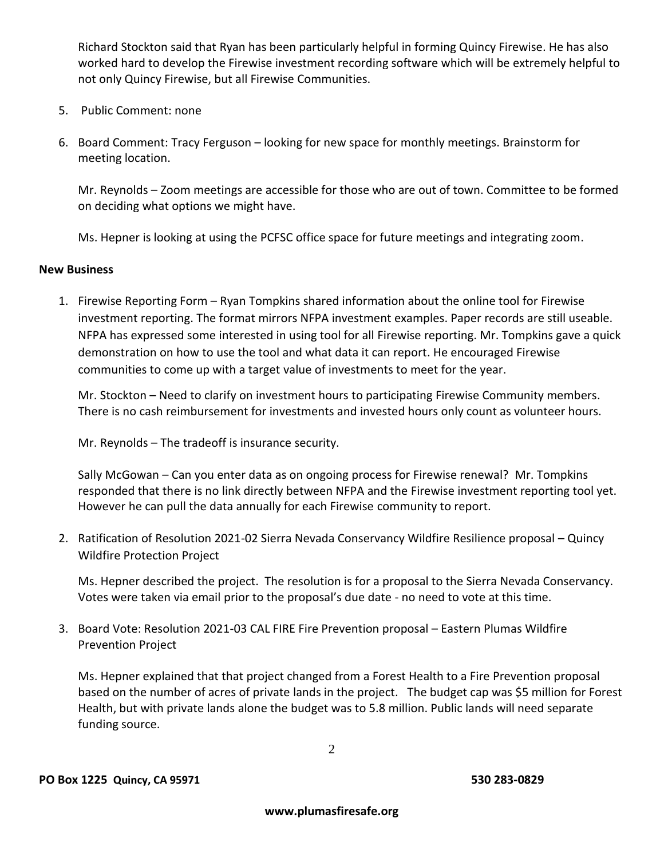Richard Stockton said that Ryan has been particularly helpful in forming Quincy Firewise. He has also worked hard to develop the Firewise investment recording software which will be extremely helpful to not only Quincy Firewise, but all Firewise Communities.

- 5. Public Comment: none
- 6. Board Comment: Tracy Ferguson looking for new space for monthly meetings. Brainstorm for meeting location.

Mr. Reynolds – Zoom meetings are accessible for those who are out of town. Committee to be formed on deciding what options we might have.

Ms. Hepner is looking at using the PCFSC office space for future meetings and integrating zoom.

#### **New Business**

1. Firewise Reporting Form – Ryan Tompkins shared information about the online tool for Firewise investment reporting. The format mirrors NFPA investment examples. Paper records are still useable. NFPA has expressed some interested in using tool for all Firewise reporting. Mr. Tompkins gave a quick demonstration on how to use the tool and what data it can report. He encouraged Firewise communities to come up with a target value of investments to meet for the year.

Mr. Stockton – Need to clarify on investment hours to participating Firewise Community members. There is no cash reimbursement for investments and invested hours only count as volunteer hours.

Mr. Reynolds – The tradeoff is insurance security.

Sally McGowan – Can you enter data as on ongoing process for Firewise renewal? Mr. Tompkins responded that there is no link directly between NFPA and the Firewise investment reporting tool yet. However he can pull the data annually for each Firewise community to report.

2. Ratification of Resolution 2021-02 Sierra Nevada Conservancy Wildfire Resilience proposal – Quincy Wildfire Protection Project

Ms. Hepner described the project. The resolution is for a proposal to the Sierra Nevada Conservancy. Votes were taken via email prior to the proposal's due date - no need to vote at this time.

3. Board Vote: Resolution 2021-03 CAL FIRE Fire Prevention proposal – Eastern Plumas Wildfire Prevention Project

Ms. Hepner explained that that project changed from a Forest Health to a Fire Prevention proposal based on the number of acres of private lands in the project. The budget cap was \$5 million for Forest Health, but with private lands alone the budget was to 5.8 million. Public lands will need separate funding source.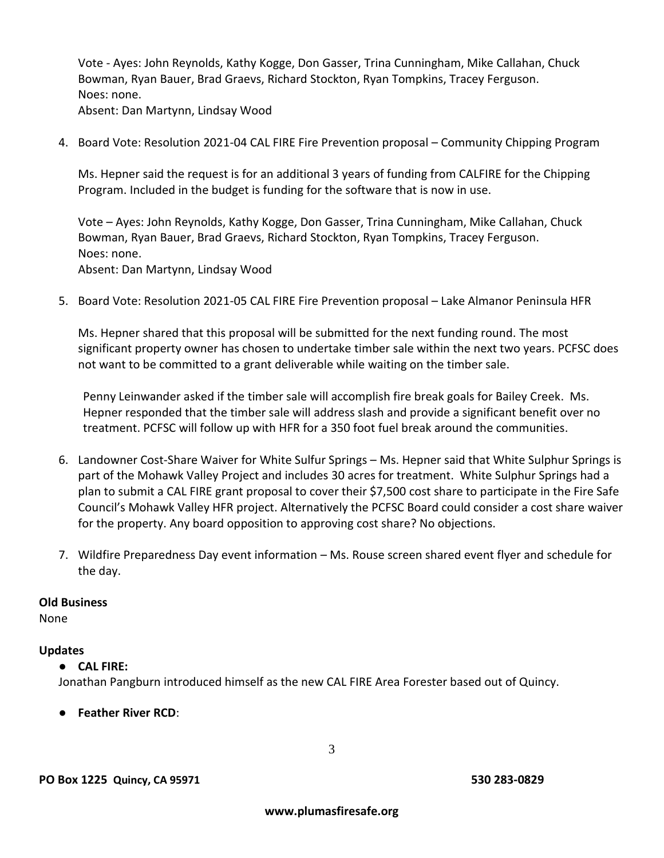Vote - Ayes: John Reynolds, Kathy Kogge, Don Gasser, Trina Cunningham, Mike Callahan, Chuck Bowman, Ryan Bauer, Brad Graevs, Richard Stockton, Ryan Tompkins, Tracey Ferguson. Noes: none. Absent: Dan Martynn, Lindsay Wood

4. Board Vote: Resolution 2021-04 CAL FIRE Fire Prevention proposal – Community Chipping Program

Ms. Hepner said the request is for an additional 3 years of funding from CALFIRE for the Chipping Program. Included in the budget is funding for the software that is now in use.

Vote – Ayes: John Reynolds, Kathy Kogge, Don Gasser, Trina Cunningham, Mike Callahan, Chuck Bowman, Ryan Bauer, Brad Graevs, Richard Stockton, Ryan Tompkins, Tracey Ferguson. Noes: none. Absent: Dan Martynn, Lindsay Wood

5. Board Vote: Resolution 2021-05 CAL FIRE Fire Prevention proposal – Lake Almanor Peninsula HFR

Ms. Hepner shared that this proposal will be submitted for the next funding round. The most significant property owner has chosen to undertake timber sale within the next two years. PCFSC does not want to be committed to a grant deliverable while waiting on the timber sale.

Penny Leinwander asked if the timber sale will accomplish fire break goals for Bailey Creek. Ms. Hepner responded that the timber sale will address slash and provide a significant benefit over no treatment. PCFSC will follow up with HFR for a 350 foot fuel break around the communities.

- 6. Landowner Cost-Share Waiver for White Sulfur Springs Ms. Hepner said that White Sulphur Springs is part of the Mohawk Valley Project and includes 30 acres for treatment. White Sulphur Springs had a plan to submit a CAL FIRE grant proposal to cover their \$7,500 cost share to participate in the Fire Safe Council's Mohawk Valley HFR project. Alternatively the PCFSC Board could consider a cost share waiver for the property. Any board opposition to approving cost share? No objections.
- 7. Wildfire Preparedness Day event information Ms. Rouse screen shared event flyer and schedule for the day.

#### **Old Business**

None

#### **Updates**

#### ● **CAL FIRE:**

Jonathan Pangburn introduced himself as the new CAL FIRE Area Forester based out of Quincy.

● **Feather River RCD**: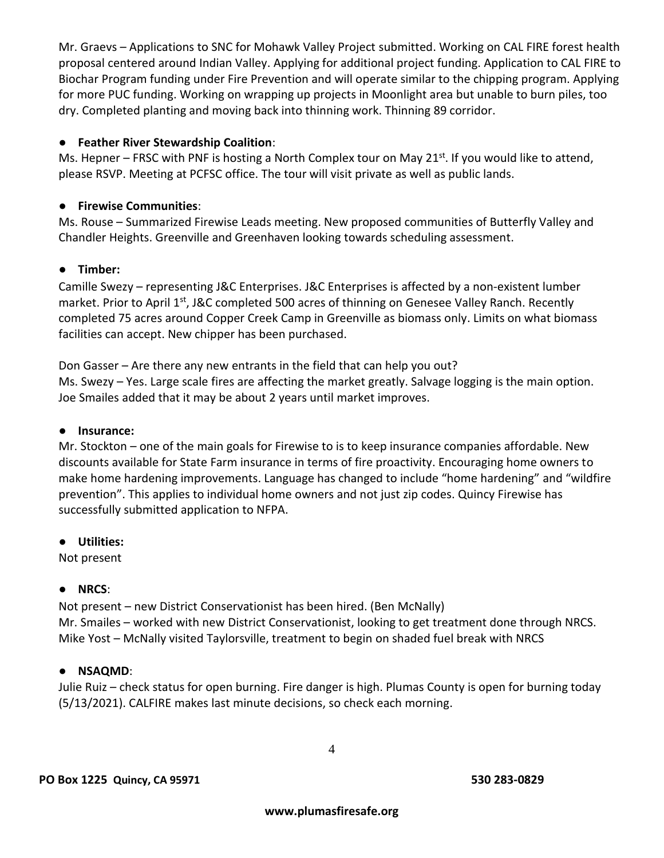Mr. Graevs – Applications to SNC for Mohawk Valley Project submitted. Working on CAL FIRE forest health proposal centered around Indian Valley. Applying for additional project funding. Application to CAL FIRE to Biochar Program funding under Fire Prevention and will operate similar to the chipping program. Applying for more PUC funding. Working on wrapping up projects in Moonlight area but unable to burn piles, too dry. Completed planting and moving back into thinning work. Thinning 89 corridor.

# ● **Feather River Stewardship Coalition**:

Ms. Hepner – FRSC with PNF is hosting a North Complex tour on May 21<sup>st</sup>. If you would like to attend, please RSVP. Meeting at PCFSC office. The tour will visit private as well as public lands.

# ● **Firewise Communities**:

Ms. Rouse – Summarized Firewise Leads meeting. New proposed communities of Butterfly Valley and Chandler Heights. Greenville and Greenhaven looking towards scheduling assessment.

# ● **Timber:**

Camille Swezy – representing J&C Enterprises. J&C Enterprises is affected by a non-existent lumber market. Prior to April  $1^{st}$ , J&C completed 500 acres of thinning on Genesee Valley Ranch. Recently completed 75 acres around Copper Creek Camp in Greenville as biomass only. Limits on what biomass facilities can accept. New chipper has been purchased.

Don Gasser – Are there any new entrants in the field that can help you out? Ms. Swezy – Yes. Large scale fires are affecting the market greatly. Salvage logging is the main option. Joe Smailes added that it may be about 2 years until market improves.

# ● **Insurance:**

Mr. Stockton – one of the main goals for Firewise to is to keep insurance companies affordable. New discounts available for State Farm insurance in terms of fire proactivity. Encouraging home owners to make home hardening improvements. Language has changed to include "home hardening" and "wildfire prevention". This applies to individual home owners and not just zip codes. Quincy Firewise has successfully submitted application to NFPA.

# ● **Utilities:**

Not present

# ● **NRCS**:

Not present – new District Conservationist has been hired. (Ben McNally) Mr. Smailes – worked with new District Conservationist, looking to get treatment done through NRCS. Mike Yost – McNally visited Taylorsville, treatment to begin on shaded fuel break with NRCS

# ● **NSAQMD**:

Julie Ruiz – check status for open burning. Fire danger is high. Plumas County is open for burning today (5/13/2021). CALFIRE makes last minute decisions, so check each morning.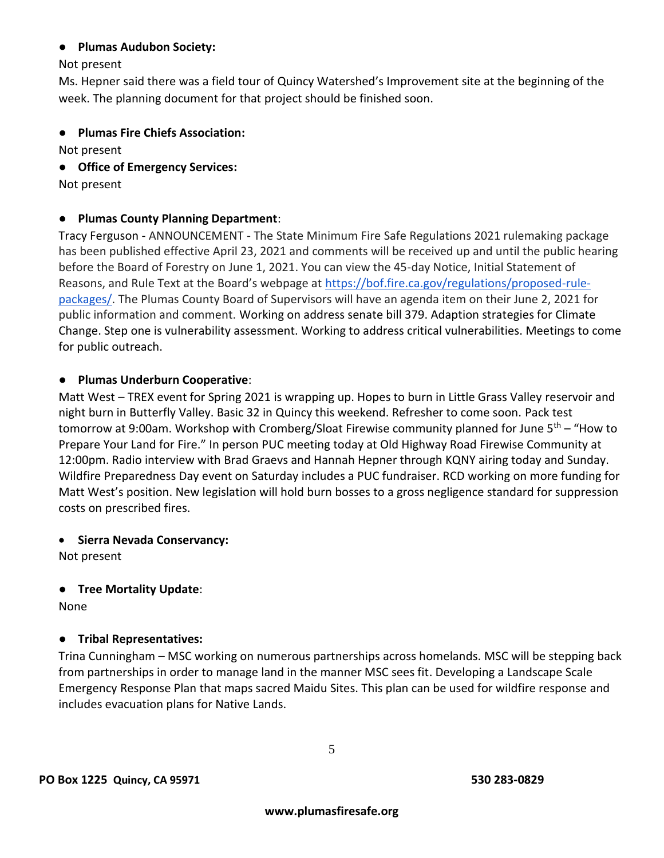#### ● **Plumas Audubon Society:**

Not present

Ms. Hepner said there was a field tour of Quincy Watershed's Improvement site at the beginning of the week. The planning document for that project should be finished soon.

● **Plumas Fire Chiefs Association:** 

Not present

● **Office of Emergency Services:**

Not present

#### ● **Plumas County Planning Department**:

Tracy Ferguson - ANNOUNCEMENT - The State Minimum Fire Safe Regulations 2021 rulemaking package has been published effective April 23, 2021 and comments will be received up and until the public hearing before the Board of Forestry on June 1, 2021. You can view the 45-day Notice, Initial Statement of Reasons, and Rule Text at the Board's webpage at [https://bof.fire.ca.gov/regulations/proposed-rule](https://bof.fire.ca.gov/regulations/proposed-rule-packages/)[packages/.](https://bof.fire.ca.gov/regulations/proposed-rule-packages/) The Plumas County Board of Supervisors will have an agenda item on their June 2, 2021 for public information and comment. Working on address senate bill 379. Adaption strategies for Climate Change. Step one is vulnerability assessment. Working to address critical vulnerabilities. Meetings to come for public outreach.

#### ● **Plumas Underburn Cooperative**:

Matt West – TREX event for Spring 2021 is wrapping up. Hopes to burn in Little Grass Valley reservoir and night burn in Butterfly Valley. Basic 32 in Quincy this weekend. Refresher to come soon. Pack test tomorrow at 9:00am. Workshop with Cromberg/Sloat Firewise community planned for June  $5<sup>th</sup>$  – "How to Prepare Your Land for Fire." In person PUC meeting today at Old Highway Road Firewise Community at 12:00pm. Radio interview with Brad Graevs and Hannah Hepner through KQNY airing today and Sunday. Wildfire Preparedness Day event on Saturday includes a PUC fundraiser. RCD working on more funding for Matt West's position. New legislation will hold burn bosses to a gross negligence standard for suppression costs on prescribed fires.

#### • **Sierra Nevada Conservancy:**

Not present

# ● **Tree Mortality Update**:

None

# ● **Tribal Representatives:**

Trina Cunningham – MSC working on numerous partnerships across homelands. MSC will be stepping back from partnerships in order to manage land in the manner MSC sees fit. Developing a Landscape Scale Emergency Response Plan that maps sacred Maidu Sites. This plan can be used for wildfire response and includes evacuation plans for Native Lands.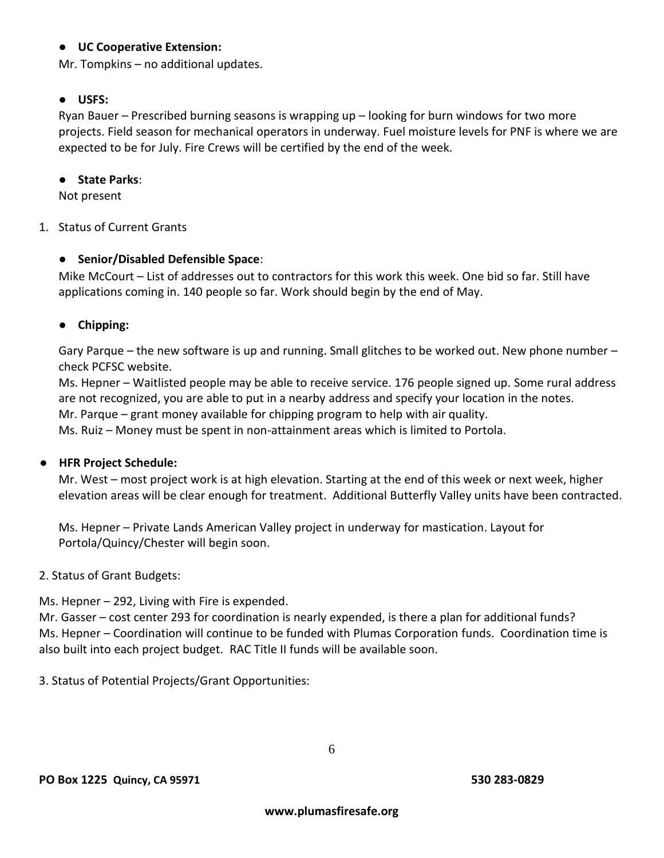#### ● **UC Cooperative Extension:**

Mr. Tompkins – no additional updates.

#### ● **USFS:**

Ryan Bauer – Prescribed burning seasons is wrapping up – looking for burn windows for two more projects. Field season for mechanical operators in underway. Fuel moisture levels for PNF is where we are expected to be for July. Fire Crews will be certified by the end of the week.

#### ● **State Parks**:

Not present

#### 1. Status of Current Grants

# ● **Senior/Disabled Defensible Space**:

Mike McCourt – List of addresses out to contractors for this work this week. One bid so far. Still have applications coming in. 140 people so far. Work should begin by the end of May.

#### ● **Chipping:**

Gary Parque – the new software is up and running. Small glitches to be worked out. New phone number – check PCFSC website.

Ms. Hepner – Waitlisted people may be able to receive service. 176 people signed up. Some rural address are not recognized, you are able to put in a nearby address and specify your location in the notes. Mr. Parque – grant money available for chipping program to help with air quality.

Ms. Ruiz – Money must be spent in non-attainment areas which is limited to Portola.

#### ● **HFR Project Schedule:**

Mr. West – most project work is at high elevation. Starting at the end of this week or next week, higher elevation areas will be clear enough for treatment. Additional Butterfly Valley units have been contracted.

Ms. Hepner – Private Lands American Valley project in underway for mastication. Layout for Portola/Quincy/Chester will begin soon.

#### 2. Status of Grant Budgets:

Ms. Hepner – 292, Living with Fire is expended.

Mr. Gasser – cost center 293 for coordination is nearly expended, is there a plan for additional funds? Ms. Hepner – Coordination will continue to be funded with Plumas Corporation funds. Coordination time is also built into each project budget. RAC Title II funds will be available soon.

3. Status of Potential Projects/Grant Opportunities: